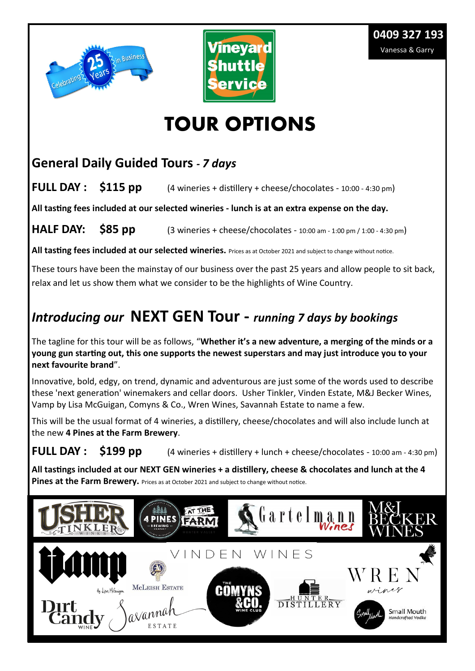



# **TOUR OPTIONS**

#### **General Daily Guided Tours** *- 7 days*

**FULL DAY : \$115 pp** (4 wineries + distillery + cheese/chocolates - 10:00 - 4:30 pm)

**All tasting fees included at our selected wineries - lunch is at an extra expense on the day.**

**HALF DAY:** \$85 pp (3 wineries + cheese/chocolates - 10:00 am - 1:00 pm / 1:00 - 4:30 pm)

**All tasting fees included at our selected wineries.** Prices as at October 2021 and subject to change without notice.

These tours have been the mainstay of our business over the past 25 years and allow people to sit back, relax and let us show them what we consider to be the highlights of Wine Country.

# *Introducing our* **NEXT GEN Tour -** *running 7 days by bookings*

The tagline for this tour will be as follows, "**Whether it's a new adventure, a merging of the minds or a young gun starting out, this one supports the newest superstars and may just introduce you to your next favourite brand**".

Innovative, bold, edgy, on trend, dynamic and adventurous are just some of the words used to describe these 'next generation' winemakers and cellar doors. Usher Tinkler, Vinden Estate, M&J Becker Wines, Vamp by Lisa McGuigan, Comyns & Co., Wren Wines, Savannah Estate to name a few.

This will be the usual format of 4 wineries, a distillery, cheese/chocolates and will also include lunch at the new **4 Pines at the Farm Brewery**.

**FULL DAY :** \$199 pp (4 wineries + distillery + lunch + cheese/chocolates - 10:00 am - 4:30 pm)

**All tastings included at our NEXT GEN wineries + a distillery, cheese & chocolates and lunch at the 4 Pines at the Farm Brewery.** Prices as at October 2021 and subject to change without notice.